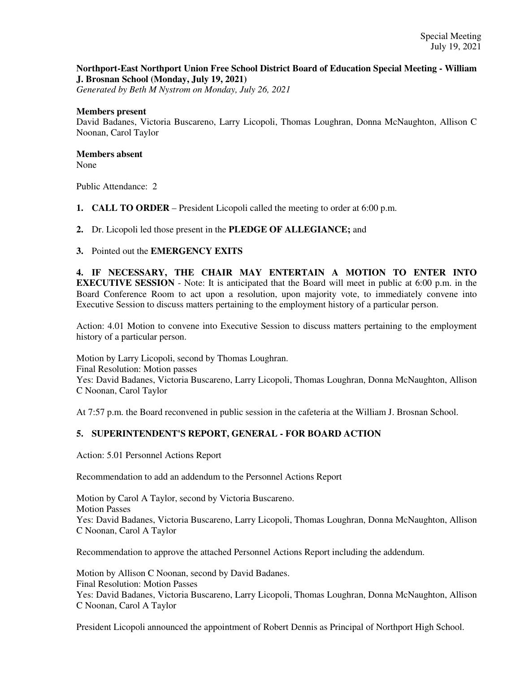## **Northport-East Northport Union Free School District Board of Education Special Meeting - William J. Brosnan School (Monday, July 19, 2021)**

*Generated by Beth M Nystrom on Monday, July 26, 2021*

## **Members present**

David Badanes, Victoria Buscareno, Larry Licopoli, Thomas Loughran, Donna McNaughton, Allison C Noonan, Carol Taylor

## **Members absent**

None

Public Attendance: 2

- **1. CALL TO ORDER** President Licopoli called the meeting to order at 6:00 p.m.
- **2.** Dr. Licopoli led those present in the **PLEDGE OF ALLEGIANCE;** and
- **3.** Pointed out the **EMERGENCY EXITS**

**4. IF NECESSARY, THE CHAIR MAY ENTERTAIN A MOTION TO ENTER INTO EXECUTIVE SESSION** - Note: It is anticipated that the Board will meet in public at 6:00 p.m. in the Board Conference Room to act upon a resolution, upon majority vote, to immediately convene into Executive Session to discuss matters pertaining to the employment history of a particular person.

Action: 4.01 Motion to convene into Executive Session to discuss matters pertaining to the employment history of a particular person.

Motion by Larry Licopoli, second by Thomas Loughran. Final Resolution: Motion passes Yes: David Badanes, Victoria Buscareno, Larry Licopoli, Thomas Loughran, Donna McNaughton, Allison C Noonan, Carol Taylor

At 7:57 p.m. the Board reconvened in public session in the cafeteria at the William J. Brosnan School.

## **5. SUPERINTENDENT'S REPORT, GENERAL - FOR BOARD ACTION**

Action: 5.01 Personnel Actions Report

Recommendation to add an addendum to the Personnel Actions Report

Motion by Carol A Taylor, second by Victoria Buscareno. Motion Passes Yes: David Badanes, Victoria Buscareno, Larry Licopoli, Thomas Loughran, Donna McNaughton, Allison C Noonan, Carol A Taylor

Recommendation to approve the attached Personnel Actions Report including the addendum.

Motion by Allison C Noonan, second by David Badanes. Final Resolution: Motion Passes Yes: David Badanes, Victoria Buscareno, Larry Licopoli, Thomas Loughran, Donna McNaughton, Allison C Noonan, Carol A Taylor

President Licopoli announced the appointment of Robert Dennis as Principal of Northport High School.